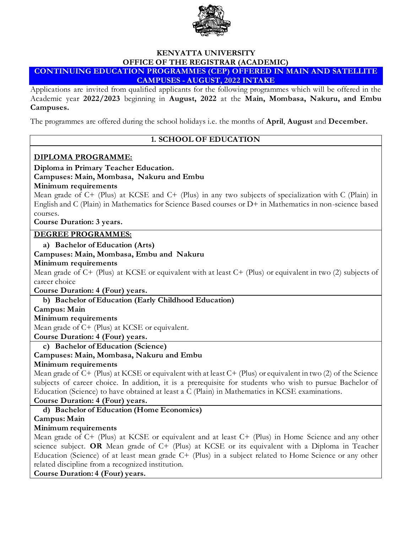

#### **KENYATTA UNIVERSITY OFFICE OF THE REGISTRAR (ACADEMIC) CONTINUING EDUCATION PROGRAMMES (CEP) OFFERED IN MAIN AND SATELLITE CAMPUSES - AUGUST, 2022 INTAKE**

Applications are invited from qualified applicants for the following programmes which will be offered in the Academic year **2022/2023** beginning in **August, 2022** at the **Main, Mombasa, Nakuru, and Embu Campuses.**

The programmes are offered during the school holidays i.e. the months of **April**, **August** and **December.**

## **1. SCHOOL OF EDUCATION**

#### **DIPLOMA PROGRAMME:**

## **Diploma in Primary Teacher Education.**

**Campuses: Main, Mombasa, Nakuru and Embu**

#### **Minimum requirements**

Mean grade of C+ (Plus) at KCSE and C+ (Plus) in any two subjects of specialization with C (Plain) in English and C (Plain) in Mathematics for Science Based courses or D+ in Mathematics in non-science based courses.

**Course Duration: 3 years.**

#### **DEGREE PROGRAMMES:**

**a) Bachelor of Education (Arts)** 

#### **Campuses: Main, Mombasa, Embu and Nakuru**

#### **Minimum requirements**

Mean grade of C+ (Plus) at KCSE or equivalent with at least C+ (Plus) or equivalent in two (2) subjects of career choice

**Course Duration: 4 (Four) years.**

**b) Bachelor of Education (Early Childhood Education)**

#### **Campus: Main**

**Minimum requirements**

Mean grade of C+ (Plus) at KCSE or equivalent.

**Course Duration: 4 (Four) years.**

**c) Bachelor of Education (Science)**

## **Campuses: Main, Mombasa, Nakuru and Embu**

#### **Minimum requirements**

Mean grade of C+ (Plus) at KCSE or equivalent with at least C+ (Plus) or equivalent in two (2) of the Science subjects of career choice. In addition, it is a prerequisite for students who wish to pursue Bachelor of Education (Science) to have obtained at least a C (Plain) in Mathematics in KCSE examinations.

# **Course Duration: 4 (Four) years.**

**d) Bachelor of Education (Home Economics)**

**Campus: Main**

## **Minimum requirements**

Mean grade of C+ (Plus) at KCSE or equivalent and at least C+ (Plus) in Home Science and any other science subject. **OR** Mean grade of C+ (Plus) at KCSE or its equivalent with a Diploma in Teacher Education (Science) of at least mean grade C+ (Plus) in a subject related to Home Science or any other related discipline from a recognized institution.

**Course Duration: 4 (Four) years.**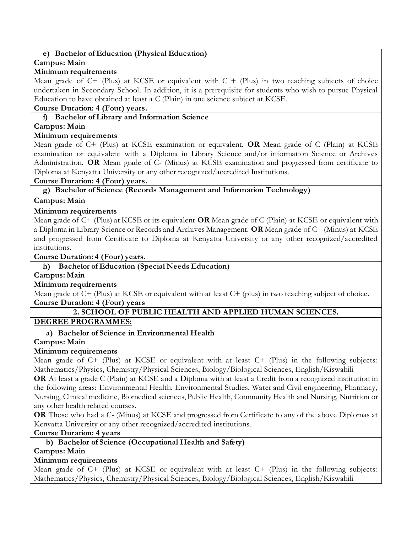## **e) Bachelor of Education (Physical Education)**

#### **Campus: Main**

#### **Minimum requirements**

Mean grade of  $C+$  (Plus) at KCSE or equivalent with  $C+$  (Plus) in two teaching subjects of choice undertaken in Secondary School. In addition, it is a prerequisite for students who wish to pursue Physical Education to have obtained at least a C (Plain) in one science subject at KCSE.

#### **Course Duration: 4 (Four) years.**

#### **f) Bachelor of Library and Information Science**

## **Campus: Main**

#### **Minimum requirements**

Mean grade of C+ (Plus) at KCSE examination or equivalent. **OR** Mean grade of C (Plain) at KCSE examination or equivalent with a Diploma in Library Science and/or information Science or Archives Administration. **OR** Mean grade of C- (Minus) at KCSE examination and progressed from certificate to Diploma at Kenyatta University or any other recognized/accredited Institutions.

#### **Course Duration: 4 (Four) years.**

**g) Bachelor of Science (Records Management and Information Technology)**

## **Campus: Main**

## **Minimum requirements**

Mean grade of C+ (Plus) at KCSE or its equivalent **OR** Mean grade of C (Plain) at KCSE or equivalent with a Diploma in Library Science or Records and Archives Management. **OR** Mean grade of C - (Minus) at KCSE and progressed from Certificate to Diploma at Kenyatta University or any other recognized/accredited institutions.

**Course Duration: 4 (Four) years.**

#### **h) Bachelor of Education (Special Needs Education)**

#### **Campus: Main**

## **Minimum requirements**

Mean grade of C+ (Plus) at KCSE or equivalent with at least C+ (plus) in two teaching subject of choice. **Course Duration: 4 (Four) years**

## **2. SCHOOL OF PUBLIC HEALTH AND APPLIED HUMAN SCIENCES.**

## **DEGREE PROGRAMMES:**

## **a) Bachelor of Science in Environmental Health**

## **Campus: Main**

## **Minimum requirements**

Mean grade of C+ (Plus) at KCSE or equivalent with at least C+ (Plus) in the following subjects: Mathematics/Physics, Chemistry/Physical Sciences, Biology/Biological Sciences, English/Kiswahili

**OR** At least a grade C (Plain) at KCSE and a Diploma with at least a Credit from a recognized institution in the following areas: Environmental Health, Environmental Studies, Water and Civil engineering, Pharmacy, Nursing, Clinical medicine, Biomedical sciences, Public Health, Community Health and Nursing, Nutrition or any other health related courses.

**OR** Those who had a C- (Minus) at KCSE and progressed from Certificate to any of the above Diplomas at Kenyatta University or any other recognized/accredited institutions.

**Course Duration: 4 years**

## **b) Bachelor of Science (Occupational Health and Safety)**

**Campus: Main**

## **Minimum requirements**

Mean grade of C+ (Plus) at KCSE or equivalent with at least C+ (Plus) in the following subjects: Mathematics/Physics, Chemistry/Physical Sciences, Biology/Biological Sciences, English/Kiswahili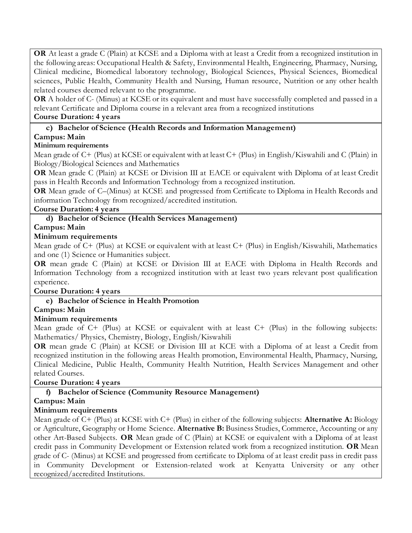**OR** At least a grade C (Plain) at KCSE and a Diploma with at least a Credit from a recognized institution in the following areas: Occupational Health & Safety, Environmental Health, Engineering, Pharmacy, Nursing, Clinical medicine, Biomedical laboratory technology, Biological Sciences, Physical Sciences, Biomedical sciences, Public Health, Community Health and Nursing, Human resource, Nutrition or any other health related courses deemed relevant to the programme.

**OR** A holder of C- (Minus) at KCSE or its equivalent and must have successfully completed and passed in a relevant Certificate and Diploma course in a relevant area from a recognized institutions

## **Course Duration: 4 years**

# **c) Bachelor of Science (Health Records and Information Management)**

# **Campus: Main**

# **Minimum requirements**

Mean grade of C+ (Plus) at KCSE or equivalent with at least C+ (Plus) in English/Kiswahili and C (Plain) in Biology/Biological Sciences and Mathematics

**OR** Mean grade C (Plain) at KCSE or Division III at EACE or equivalent with Diploma of at least Credit pass in Health Records and Information Technology from a recognized institution.

**OR** Mean grade of C–(Minus) at KCSE and progressed from Certificate to Diploma in Health Records and information Technology from recognized/accredited institution.

## **Course Duration: 4 years**

# **d) Bachelor of Science (Health Services Management)**

## **Campus: Main**

## **Minimum requirements**

Mean grade of C+ (Plus) at KCSE or equivalent with at least C+ (Plus) in English/Kiswahili, Mathematics and one (1) Science or Humanities subject.

**OR** mean grade C (Plain) at KCSE or Division III at EACE with Diploma in Health Records and Information Technology from a recognized institution with at least two years relevant post qualification experience.

## **Course Duration: 4 years**

## **e) Bachelor of Science in Health Promotion**

## **Campus: Main**

## **Minimum requirements**

Mean grade of C+ (Plus) at KCSE or equivalent with at least C+ (Plus) in the following subjects: Mathematics/ Physics, Chemistry, Biology, English/Kiswahili

**OR** mean grade C (Plain) at KCSE or Division III at KCE with a Diploma of at least a Credit from recognized institution in the following areas Health promotion, Environmental Health, Pharmacy, Nursing, Clinical Medicine, Public Health, Community Health Nutrition, Health Services Management and other related Courses.

## **Course Duration: 4 years**

## **f) Bachelor of Science (Community Resource Management)**

## **Campus: Main**

## **Minimum requirements**

Mean grade of C+ (Plus) at KCSE with C+ (Plus) in either of the following subjects: **Alternative A:** Biology or Agriculture, Geography or Home Science. **Alternative B:** Business Studies, Commerce, Accounting or any other Art-Based Subjects. **OR** Mean grade of C (Plain) at KCSE or equivalent with a Diploma of at least credit pass in Community Development or Extension related work from a recognized institution. **OR** Mean grade of C- (Minus) at KCSE and progressed from certificate to Diploma of at least credit pass in credit pass in Community Development or Extension-related work at Kenyatta University or any other recognized/accredited Institutions.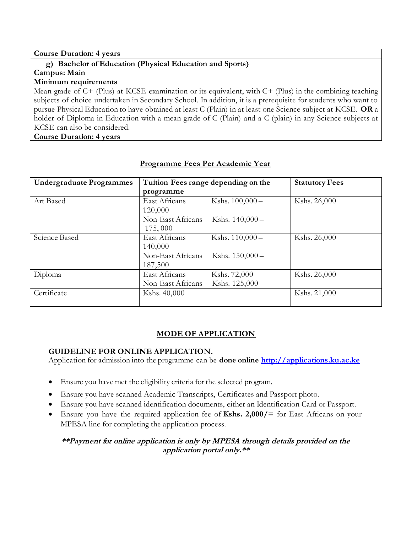#### **Course Duration: 4 years g) Bachelor of Education (Physical Education and Sports) Campus: Main Minimum requirements** Mean grade of C+ (Plus) at KCSE examination or its equivalent, with C+ (Plus) in the combining teaching subjects of choice undertaken in Secondary School. In addition, it is a prerequisite for students who want to pursue Physical Education to have obtained at least C (Plain) in at least one Science subject at KCSE. **OR** a holder of Diploma in Education with a mean grade of C (Plain) and a C (plain) in any Science subjects at KCSE can also be considered. **Course Duration: 4 years**

| <b>Undergraduate Programmes</b> | Tuition Fees range depending on the | <b>Statutory Fees</b> |              |
|---------------------------------|-------------------------------------|-----------------------|--------------|
|                                 | programme                           |                       |              |
| Art Based                       | East Africans                       | Kshs. $100,000 -$     | Kshs. 26,000 |
|                                 | 120,000                             |                       |              |
|                                 | Non-East Africans                   | Kshs. $140,000-$      |              |
|                                 | 175,000                             |                       |              |
| Science Based                   | East Africans                       | Kshs. $110,000 -$     | Kshs. 26,000 |
|                                 | 140,000                             |                       |              |
|                                 | Non-East Africans                   | Kshs. $150,000 -$     |              |
|                                 | 187,500                             |                       |              |
| Diploma                         | East Africans                       | Kshs. 72,000          | Kshs. 26,000 |
|                                 | Non-East Africans                   | Kshs. 125,000         |              |
| Certificate                     | Kshs. 40,000                        |                       | Kshs. 21,000 |
|                                 |                                     |                       |              |

## **Programme Fees Per Academic Year**

## **MODE OF APPLICATION**

## **GUIDELINE FOR ONLINE APPLICATION.**

Application for admission into the programme can be **done online [http://applications.ku.ac.ke](http://applications.ku.ac.ke/)**

- Ensure you have met the eligibility criteria for the selected program.
- Ensure you have scanned Academic Transcripts, Certificates and Passport photo.
- Ensure you have scanned identification documents, either an Identification Card or Passport.
- Ensure you have the required application fee of **Kshs. 2,000/=** for East Africans on your MPESA line for completing the application process.

## **\*\*Payment for online application is only by MPESA through details provided on the application portal only.\*\***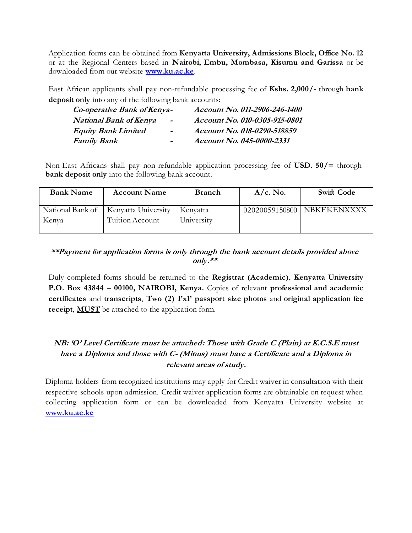Application forms can be obtained from **Kenyatta University, Admissions Block, Office No. 12** or at the Regional Centers based in **Nairobi, Embu, Mombasa, Kisumu and Garissa** or be downloaded from our website **[www.ku.ac.ke](http://www.ku.ac.ke/)**.

East African applicants shall pay non-refundable processing fee of **Kshs. 2,000/-** through **bank deposit only** into any of the following bank accounts:

| Co-operative Bank of Kenya-   |                          | Account No. 011-2906-246-1400 |  |  |
|-------------------------------|--------------------------|-------------------------------|--|--|
| <b>National Bank of Kenya</b> | $\blacksquare$           | Account No. 010-0305-915-0801 |  |  |
| <b>Equity Bank Limited</b>    | $\blacksquare$           | Account No. 018-0290-518859   |  |  |
| <i>Family Bank</i>            | $\overline{\phantom{0}}$ | Account No. 045-0000-2331     |  |  |

Non-East Africans shall pay non-refundable application processing fee of **USD. 50/=** through **bank deposit only** into the following bank account.

| <b>Bank Name</b> | <b>Account Name</b>                    | <b>Branch</b> | $A/c.$ No. | <b>Swift Code</b>            |
|------------------|----------------------------------------|---------------|------------|------------------------------|
|                  | National Bank of   Kenyatta University | Kenyatta      |            | 02020059150800   NBKEKENXXXX |
| Kenya            | Tuition Account                        | University    |            |                              |

## **\*\*Payment for application forms is only through the bank account details provided above only.\*\***

Duly completed forms should be returned to the **Registrar (Academic)**, **Kenyatta University P.O. Box 43844 – 00100, NAIROBI, Kenya.** Copies of relevant **professional and academic certificates** and **transcripts**, **Two (2) I'x1' passport size photos** and **original application fee receipt**, **MUST** be attached to the application form.

# **NB: 'O' Level Certificate must be attached: Those with Grade C (Plain) at K.C.S.E must have a Diploma and those with C- (Minus) must have a Certificate and a Diploma in relevant areas of study.**

Diploma holders from recognized institutions may apply for Credit waiver in consultation with their respective schools upon admission. Credit waiver application forms are obtainable on request when collecting application form or can be downloaded from Kenyatta University website at **[www.ku.ac.ke](http://www.ku.ac.ke/)**